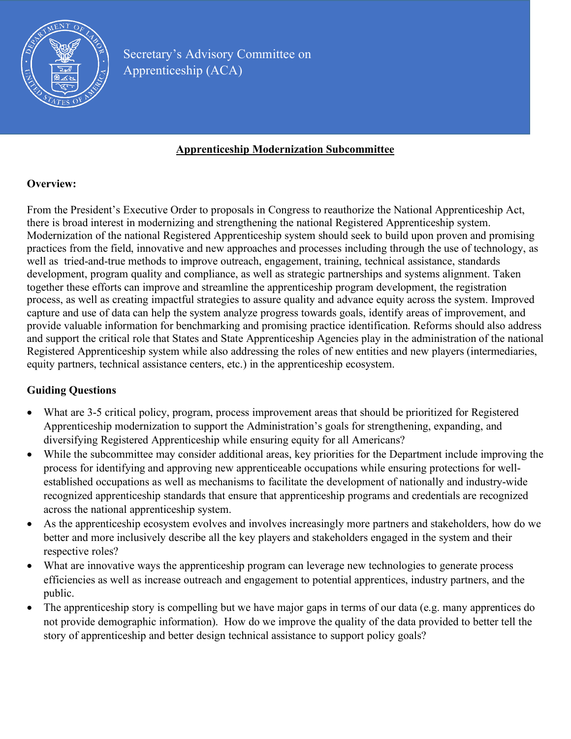

#### **Apprenticeship Modernization Subcommittee**

# **Overview:**

From the President's Executive Order to proposals in Congress to reauthorize the National Apprenticeship Act, there is broad interest in modernizing and strengthening the national Registered Apprenticeship system. Modernization of the national Registered Apprenticeship system should seek to build upon proven and promising practices from the field, innovative and new approaches and processes including through the use of technology, as well as tried-and-true methods to improve outreach, engagement, training, technical assistance, standards development, program quality and compliance, as well as strategic partnerships and systems alignment. Taken together these efforts can improve and streamline the apprenticeship program development, the registration process, as well as creating impactful strategies to assure quality and advance equity across the system. Improved capture and use of data can help the system analyze progress towards goals, identify areas of improvement, and provide valuable information for benchmarking and promising practice identification. Reforms should also address and support the critical role that States and State Apprenticeship Agencies play in the administration of the national Registered Apprenticeship system while also addressing the roles of new entities and new players (intermediaries, equity partners, technical assistance centers, etc.) in the apprenticeship ecosystem.

# **Guiding Questions**

- What are 3-5 critical policy, program, process improvement areas that should be prioritized for Registered Apprenticeship modernization to support the Administration's goals for strengthening, expanding, and diversifying Registered Apprenticeship while ensuring equity for all Americans?
- While the subcommittee may consider additional areas, key priorities for the Department include improving the process for identifying and approving new apprenticeable occupations while ensuring protections for wellestablished occupations as well as mechanisms to facilitate the development of nationally and industry-wide recognized apprenticeship standards that ensure that apprenticeship programs and credentials are recognized across the national apprenticeship system.
- As the apprenticeship ecosystem evolves and involves increasingly more partners and stakeholders, how do we better and more inclusively describe all the key players and stakeholders engaged in the system and their respective roles?
- What are innovative ways the apprenticeship program can leverage new technologies to generate process efficiencies as well as increase outreach and engagement to potential apprentices, industry partners, and the public.
- The apprenticeship story is compelling but we have major gaps in terms of our data (e.g. many apprentices do not provide demographic information). How do we improve the quality of the data provided to better tell the story of apprenticeship and better design technical assistance to support policy goals?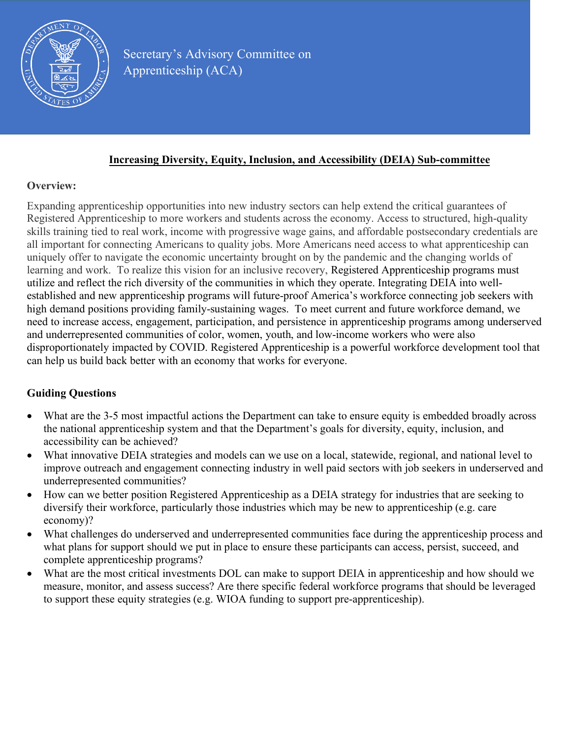

#### **Increasing Diversity, Equity, Inclusion, and Accessibility (DEIA) Sub-committee**

### **Overview:**

Expanding apprenticeship opportunities into new industry sectors can help extend the critical guarantees of Registered Apprenticeship to more workers and students across the economy. Access to structured, high-quality skills training tied to real work, income with progressive wage gains, and affordable postsecondary credentials are all important for connecting Americans to quality jobs. More Americans need access to what apprenticeship can uniquely offer to navigate the economic uncertainty brought on by the pandemic and the changing worlds of learning and work. To realize this vision for an inclusive recovery, Registered Apprenticeship programs must utilize and reflect the rich diversity of the communities in which they operate. Integrating DEIA into wellestablished and new apprenticeship programs will future-proof America's workforce connecting job seekers with high demand positions providing family-sustaining wages. To meet current and future workforce demand, we need to increase access, engagement, participation, and persistence in apprenticeship programs among underserved and underrepresented communities of color, women, youth, and low-income workers who were also disproportionately impacted by COVID. Registered Apprenticeship is a powerful workforce development tool that can help us build back better with an economy that works for everyone.

### **Guiding Questions**

- What are the 3-5 most impactful actions the Department can take to ensure equity is embedded broadly across the national apprenticeship system and that the Department's goals for diversity, equity, inclusion, and accessibility can be achieved?
- What innovative DEIA strategies and models can we use on a local, statewide, regional, and national level to improve outreach and engagement connecting industry in well paid sectors with job seekers in underserved and underrepresented communities?
- How can we better position Registered Apprenticeship as a DEIA strategy for industries that are seeking to diversify their workforce, particularly those industries which may be new to apprenticeship (e.g. care economy)?
- What challenges do underserved and underrepresented communities face during the apprenticeship process and what plans for support should we put in place to ensure these participants can access, persist, succeed, and complete apprenticeship programs?
- What are the most critical investments DOL can make to support DEIA in apprenticeship and how should we measure, monitor, and assess success? Are there specific federal workforce programs that should be leveraged to support these equity strategies (e.g. WIOA funding to support pre-apprenticeship).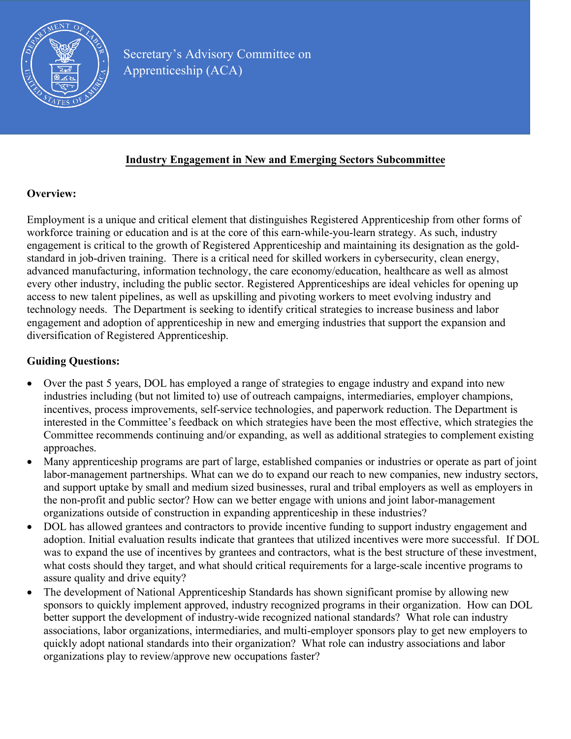

### **Industry Engagement in New and Emerging Sectors Subcommittee**

### **Overview:**

Employment is a unique and critical element that distinguishes Registered Apprenticeship from other forms of workforce training or education and is at the core of this earn-while-you-learn strategy. As such, industry engagement is critical to the growth of Registered Apprenticeship and maintaining its designation as the goldstandard in job-driven training. There is a critical need for skilled workers in cybersecurity, clean energy, advanced manufacturing, information technology, the care economy/education, healthcare as well as almost every other industry, including the public sector. Registered Apprenticeships are ideal vehicles for opening up access to new talent pipelines, as well as upskilling and pivoting workers to meet evolving industry and technology needs. The Department is seeking to identify critical strategies to increase business and labor engagement and adoption of apprenticeship in new and emerging industries that support the expansion and diversification of Registered Apprenticeship.

### **Guiding Questions:**

- Over the past 5 years, DOL has employed a range of strategies to engage industry and expand into new industries including (but not limited to) use of outreach campaigns, intermediaries, employer champions, incentives, process improvements, self-service technologies, and paperwork reduction. The Department is interested in the Committee's feedback on which strategies have been the most effective, which strategies the Committee recommends continuing and/or expanding, as well as additional strategies to complement existing approaches.
- Many apprenticeship programs are part of large, established companies or industries or operate as part of joint labor-management partnerships. What can we do to expand our reach to new companies, new industry sectors, and support uptake by small and medium sized businesses, rural and tribal employers as well as employers in the non-profit and public sector? How can we better engage with unions and joint labor-management organizations outside of construction in expanding apprenticeship in these industries?
- DOL has allowed grantees and contractors to provide incentive funding to support industry engagement and adoption. Initial evaluation results indicate that grantees that utilized incentives were more successful. If DOL was to expand the use of incentives by grantees and contractors, what is the best structure of these investment, what costs should they target, and what should critical requirements for a large-scale incentive programs to assure quality and drive equity?
- The development of National Apprenticeship Standards has shown significant promise by allowing new sponsors to quickly implement approved, industry recognized programs in their organization. How can DOL better support the development of industry-wide recognized national standards? What role can industry associations, labor organizations, intermediaries, and multi-employer sponsors play to get new employers to quickly adopt national standards into their organization? What role can industry associations and labor organizations play to review/approve new occupations faster?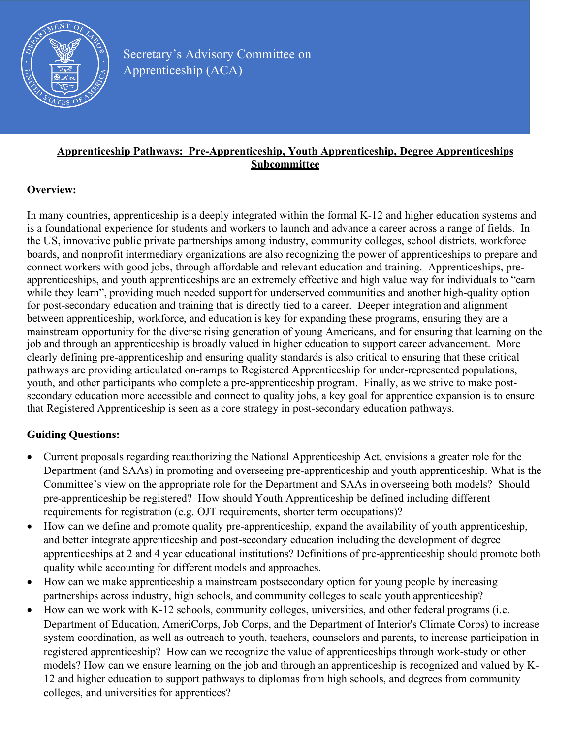

### **Apprenticeship Pathways: Pre-Apprenticeship, Youth Apprenticeship, Degree Apprenticeships Subcommittee**

### **Overview:**

In many countries, apprenticeship is a deeply integrated within the formal K-12 and higher education systems and is a foundational experience for students and workers to launch and advance a career across a range of fields. In the US, innovative public private partnerships among industry, community colleges, school districts, workforce boards, and nonprofit intermediary organizations are also recognizing the power of apprenticeships to prepare and connect workers with good jobs, through affordable and relevant education and training. Apprenticeships, preapprenticeships, and youth apprenticeships are an extremely effective and high value way for individuals to "earn while they learn", providing much needed support for underserved communities and another high-quality option for post-secondary education and training that is directly tied to a career. Deeper integration and alignment between apprenticeship, workforce, and education is key for expanding these programs, ensuring they are a mainstream opportunity for the diverse rising generation of young Americans, and for ensuring that learning on the job and through an apprenticeship is broadly valued in higher education to support career advancement. More clearly defining pre-apprenticeship and ensuring quality standards is also critical to ensuring that these critical pathways are providing articulated on-ramps to Registered Apprenticeship for under-represented populations, youth, and other participants who complete a pre-apprenticeship program. Finally, as we strive to make postsecondary education more accessible and connect to quality jobs, a key goal for apprentice expansion is to ensure that Registered Apprenticeship is seen as a core strategy in post-secondary education pathways.

# **Guiding Questions:**

- Current proposals regarding reauthorizing the National Apprenticeship Act, envisions a greater role for the Department (and SAAs) in promoting and overseeing pre-apprenticeship and youth apprenticeship. What is the Committee's view on the appropriate role for the Department and SAAs in overseeing both models? Should pre-apprenticeship be registered? How should Youth Apprenticeship be defined including different requirements for registration (e.g. OJT requirements, shorter term occupations)?
- How can we define and promote quality pre-apprenticeship, expand the availability of youth apprenticeship, and better integrate apprenticeship and post-secondary education including the development of degree apprenticeships at 2 and 4 year educational institutions? Definitions of pre-apprenticeship should promote both quality while accounting for different models and approaches.
- How can we make apprenticeship a mainstream postsecondary option for young people by increasing partnerships across industry, high schools, and community colleges to scale youth apprenticeship?
- How can we work with K-12 schools, community colleges, universities, and other federal programs (i.e. Department of Education, AmeriCorps, Job Corps, and the Department of Interior's Climate Corps) to increase system coordination, as well as outreach to youth, teachers, counselors and parents, to increase participation in registered apprenticeship? How can we recognize the value of apprenticeships through work-study or other models? How can we ensure learning on the job and through an apprenticeship is recognized and valued by K-12 and higher education to support pathways to diplomas from high schools, and degrees from community colleges, and universities for apprentices?